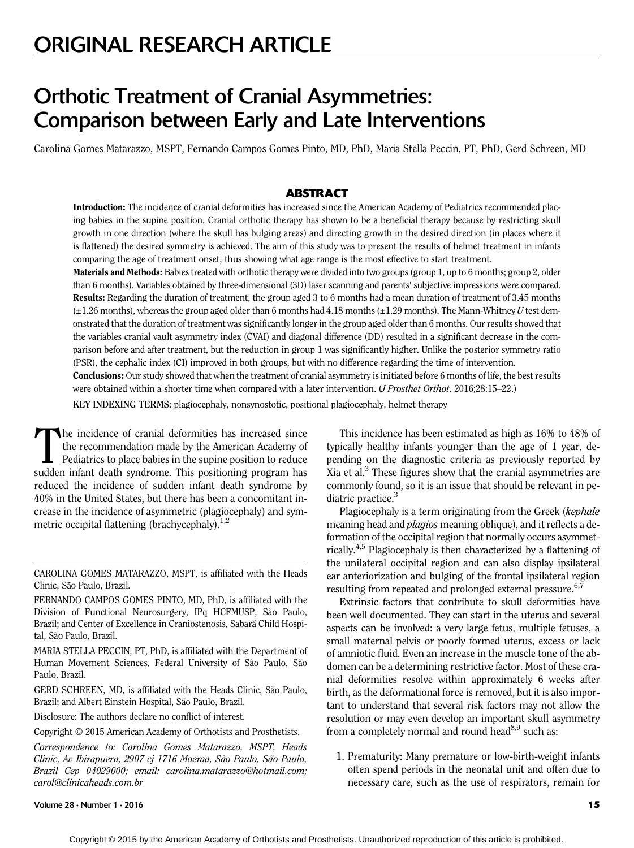# Orthotic Treatment of Cranial Asymmetries: Comparison between Early and Late Interventions

Carolina Gomes Matarazzo, MSPT, Fernando Campos Gomes Pinto, MD, PhD, Maria Stella Peccin, PT, PhD, Gerd Schreen, MD

# **ABSTRACT**

Introduction: The incidence of cranial deformities has increased since the American Academy of Pediatrics recommended placing babies in the supine position. Cranial orthotic therapy has shown to be a beneficial therapy because by restricting skull growth in one direction (where the skull has bulging areas) and directing growth in the desired direction (in places where it is flattened) the desired symmetry is achieved. The aim of this study was to present the results of helmet treatment in infants comparing the age of treatment onset, thus showing what age range is the most effective to start treatment.

Materials and Methods: Babies treated with orthotic therapy were divided into two groups (group 1, up to 6 months; group 2, older than 6 months). Variables obtained by three-dimensional (3D) laser scanning and parents' subjective impressions were compared. Results: Regarding the duration of treatment, the group aged 3 to 6 months had a mean duration of treatment of 3.45 months  $(\pm 1.26$  months), whereas the group aged older than 6 months had 4.18 months ( $\pm 1.29$  months). The Mann-Whitney U test demonstrated that the duration of treatment was significantly longer in the group aged older than 6 months. Our results showed that the variables cranial vault asymmetry index (CVAI) and diagonal difference (DD) resulted in a significant decrease in the comparison before and after treatment, but the reduction in group 1 was significantly higher. Unlike the posterior symmetry ratio (PSR), the cephalic index (CI) improved in both groups, but with no difference regarding the time of intervention. Conclusions: Our study showed that when the treatment of cranial asymmetry is initiated before 6 months of life, the best results were obtained within a shorter time when compared with a later intervention. (*J Prosthet Orthot.* 2016;28:15–22.) KEY INDEXING TERMS: plagiocephaly, nonsynostotic, positional plagiocephaly, helmet therapy

The incidence of cranial deformities has increased since<br>the recommendation made by the American Academy of<br>Pediatrics to place babies in the supine position to reduce<br>sudden infant dark sundrome. This positioning program the recommendation made by the American Academy of sudden infant death syndrome. This positioning program has reduced the incidence of sudden infant death syndrome by 40% in the United States, but there has been a concomitant increase in the incidence of asymmetric (plagiocephaly) and symmetric occipital flattening (brachycephaly). $^{1,2}$ 

CAROLINA GOMES MATARAZZO, MSPT, is affiliated with the Heads Clinic, São Paulo, Brazil.

FERNANDO CAMPOS GOMES PINTO, MD, PhD, is affiliated with the Division of Functional Neurosurgery, IPq HCFMUSP, São Paulo, Brazil; and Center of Excellence in Craniostenosis, Sabará Child Hospital, São Paulo, Brazil.

MARIA STELLA PECCIN, PT, PhD, is affiliated with the Department of Human Movement Sciences, Federal University of São Paulo, São Paulo, Brazil.

GERD SCHREEN, MD, is affiliated with the Heads Clinic, São Paulo, Brazil; and Albert Einstein Hospital, São Paulo, Brazil.

Disclosure: The authors declare no conflict of interest.

Copyright © 2015 American Academy of Orthotists and Prosthetists.

Correspondence to: Carolina Gomes Matarazzo, MSPT, Heads Clinic, Av Ibirapuera, 2907 cj 1716 Moema, São Paulo, São Paulo, Brazil Cep 04029000; email: carolina.matarazzo@hotmail.com; carol@clinicaheads.com.br

This incidence has been estimated as high as 16% to 48% of typically healthy infants younger than the age of 1 year, depending on the diagnostic criteria as previously reported by Xia et al. $3$  These figures show that the cranial asymmetries are commonly found, so it is an issue that should be relevant in pediatric practice.<sup>3</sup>

Plagiocephaly is a term originating from the Greek (kephale meaning head and *plagios* meaning oblique), and it reflects a deformation of the occipital region that normally occurs asymmetrically.4,5 Plagiocephaly is then characterized by a flattening of the unilateral occipital region and can also display ipsilateral ear anteriorization and bulging of the frontal ipsilateral region resulting from repeated and prolonged external pressure.<sup>6,7</sup>

Extrinsic factors that contribute to skull deformities have been well documented. They can start in the uterus and several aspects can be involved: a very large fetus, multiple fetuses, a small maternal pelvis or poorly formed uterus, excess or lack of amniotic fluid. Even an increase in the muscle tone of the abdomen can be a determining restrictive factor. Most of these cranial deformities resolve within approximately 6 weeks after birth, as the deformational force is removed, but it is also important to understand that several risk factors may not allow the resolution or may even develop an important skull asymmetry from a completely normal and round head $8.9$  such as:

1. Prematurity: Many premature or low-birth-weight infants often spend periods in the neonatal unit and often due to necessary care, such as the use of respirators, remain for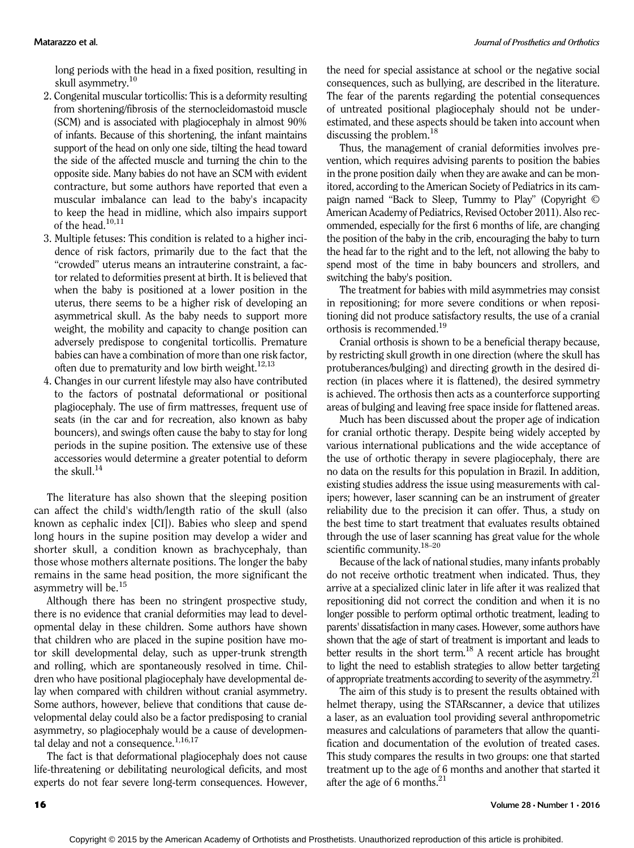long periods with the head in a fixed position, resulting in skull asymmetry.<sup>10</sup>

- 2. Congenital muscular torticollis: This is a deformity resulting from shortening/fibrosis of the sternocleidomastoid muscle (SCM) and is associated with plagiocephaly in almost 90% of infants. Because of this shortening, the infant maintains support of the head on only one side, tilting the head toward the side of the affected muscle and turning the chin to the opposite side. Many babies do not have an SCM with evident contracture, but some authors have reported that even a muscular imbalance can lead to the baby's incapacity to keep the head in midline, which also impairs support of the head. $10,11$
- 3. Multiple fetuses: This condition is related to a higher incidence of risk factors, primarily due to the fact that the "crowded" uterus means an intrauterine constraint, a factor related to deformities present at birth. It is believed that when the baby is positioned at a lower position in the uterus, there seems to be a higher risk of developing an asymmetrical skull. As the baby needs to support more weight, the mobility and capacity to change position can adversely predispose to congenital torticollis. Premature babies can have a combination of more than one risk factor, often due to prematurity and low birth weight. $12,13$
- 4. Changes in our current lifestyle may also have contributed to the factors of postnatal deformational or positional plagiocephaly. The use of firm mattresses, frequent use of seats (in the car and for recreation, also known as baby bouncers), and swings often cause the baby to stay for long periods in the supine position. The extensive use of these accessories would determine a greater potential to deform the skull. $^{14}$

The literature has also shown that the sleeping position can affect the child's width/length ratio of the skull (also known as cephalic index [CI]). Babies who sleep and spend long hours in the supine position may develop a wider and shorter skull, a condition known as brachycephaly, than those whose mothers alternate positions. The longer the baby remains in the same head position, the more significant the asymmetry will be.<sup>15</sup>

Although there has been no stringent prospective study, there is no evidence that cranial deformities may lead to developmental delay in these children. Some authors have shown that children who are placed in the supine position have motor skill developmental delay, such as upper-trunk strength and rolling, which are spontaneously resolved in time. Children who have positional plagiocephaly have developmental delay when compared with children without cranial asymmetry. Some authors, however, believe that conditions that cause developmental delay could also be a factor predisposing to cranial asymmetry, so plagiocephaly would be a cause of developmental delay and not a consequence.<sup>1,16,17</sup>

The fact is that deformational plagiocephaly does not cause life-threatening or debilitating neurological deficits, and most experts do not fear severe long-term consequences. However,

the need for special assistance at school or the negative social consequences, such as bullying, are described in the literature. The fear of the parents regarding the potential consequences of untreated positional plagiocephaly should not be underestimated, and these aspects should be taken into account when discussing the problem.<sup>18</sup>

Thus, the management of cranial deformities involves prevention, which requires advising parents to position the babies in the prone position daily when they are awake and can be monitored, according to the American Society of Pediatrics in its campaign named "Back to Sleep, Tummy to Play" (Copyright © American Academy of Pediatrics, Revised October 2011). Also recommended, especially for the first 6 months of life, are changing the position of the baby in the crib, encouraging the baby to turn the head far to the right and to the left, not allowing the baby to spend most of the time in baby bouncers and strollers, and switching the baby's position.

The treatment for babies with mild asymmetries may consist in repositioning; for more severe conditions or when repositioning did not produce satisfactory results, the use of a cranial orthosis is recommended.19

Cranial orthosis is shown to be a beneficial therapy because, by restricting skull growth in one direction (where the skull has protuberances/bulging) and directing growth in the desired direction (in places where it is flattened), the desired symmetry is achieved. The orthosis then acts as a counterforce supporting areas of bulging and leaving free space inside for flattened areas.

Much has been discussed about the proper age of indication for cranial orthotic therapy. Despite being widely accepted by various international publications and the wide acceptance of the use of orthotic therapy in severe plagiocephaly, there are no data on the results for this population in Brazil. In addition, existing studies address the issue using measurements with calipers; however, laser scanning can be an instrument of greater reliability due to the precision it can offer. Thus, a study on the best time to start treatment that evaluates results obtained through the use of laser scanning has great value for the whole scientific community.<sup>18–20</sup>

Because of the lack of national studies, many infants probably do not receive orthotic treatment when indicated. Thus, they arrive at a specialized clinic later in life after it was realized that repositioning did not correct the condition and when it is no longer possible to perform optimal orthotic treatment, leading to parents' dissatisfaction in many cases. However, some authors have shown that the age of start of treatment is important and leads to better results in the short term. $^{18}$  A recent article has brought to light the need to establish strategies to allow better targeting of appropriate treatments according to severity of the asymmetry.<sup>21</sup>

The aim of this study is to present the results obtained with helmet therapy, using the STARscanner, a device that utilizes a laser, as an evaluation tool providing several anthropometric measures and calculations of parameters that allow the quantification and documentation of the evolution of treated cases. This study compares the results in two groups: one that started treatment up to the age of 6 months and another that started it after the age of 6 months.21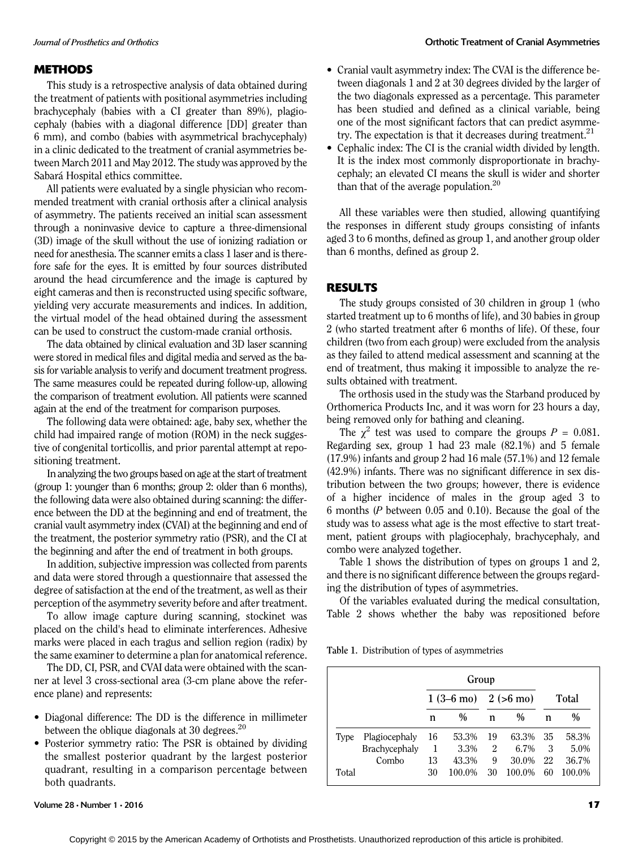## METHODS

This study is a retrospective analysis of data obtained during the treatment of patients with positional asymmetries including brachycephaly (babies with a CI greater than 89%), plagiocephaly (babies with a diagonal difference [DD] greater than 6 mm), and combo (babies with asymmetrical brachycephaly) in a clinic dedicated to the treatment of cranial asymmetries between March 2011 and May 2012. The study was approved by the Sabará Hospital ethics committee.

All patients were evaluated by a single physician who recommended treatment with cranial orthosis after a clinical analysis of asymmetry. The patients received an initial scan assessment through a noninvasive device to capture a three-dimensional (3D) image of the skull without the use of ionizing radiation or need for anesthesia. The scanner emits a class 1 laser and is therefore safe for the eyes. It is emitted by four sources distributed around the head circumference and the image is captured by eight cameras and then is reconstructed using specific software, yielding very accurate measurements and indices. In addition, the virtual model of the head obtained during the assessment can be used to construct the custom-made cranial orthosis.

The data obtained by clinical evaluation and 3D laser scanning were stored in medical files and digital media and served as the basis for variable analysis to verify and document treatment progress. The same measures could be repeated during follow-up, allowing the comparison of treatment evolution. All patients were scanned again at the end of the treatment for comparison purposes.

The following data were obtained: age, baby sex, whether the child had impaired range of motion (ROM) in the neck suggestive of congenital torticollis, and prior parental attempt at repositioning treatment.

In analyzing the two groups based on age at the start of treatment (group 1: younger than 6 months; group 2: older than 6 months), the following data were also obtained during scanning: the difference between the DD at the beginning and end of treatment, the cranial vault asymmetry index (CVAI) at the beginning and end of the treatment, the posterior symmetry ratio (PSR), and the CI at the beginning and after the end of treatment in both groups.

In addition, subjective impression was collected from parents and data were stored through a questionnaire that assessed the degree of satisfaction at the end of the treatment, as well as their perception of the asymmetry severity before and after treatment.

To allow image capture during scanning, stockinet was placed on the child's head to eliminate interferences. Adhesive marks were placed in each tragus and sellion region (radix) by the same examiner to determine a plan for anatomical reference.

The DD, CI, PSR, and CVAI data were obtained with the scanner at level 3 cross-sectional area (3-cm plane above the reference plane) and represents:

- Diagonal difference: The DD is the difference in millimeter between the oblique diagonals at 30 degrees. $^{20}$
- Posterior symmetry ratio: The PSR is obtained by dividing the smallest posterior quadrant by the largest posterior quadrant, resulting in a comparison percentage between both quadrants.
- Cranial vault asymmetry index: The CVAI is the difference between diagonals 1 and 2 at 30 degrees divided by the larger of the two diagonals expressed as a percentage. This parameter has been studied and defined as a clinical variable, being one of the most significant factors that can predict asymmetry. The expectation is that it decreases during treatment.<sup>21</sup>
- Cephalic index: The CI is the cranial width divided by length. It is the index most commonly disproportionate in brachycephaly; an elevated CI means the skull is wider and shorter than that of the average population. $20$

All these variables were then studied, allowing quantifying the responses in different study groups consisting of infants aged 3 to 6 months, defined as group 1, and another group older than 6 months, defined as group 2.

# RESULTS

The study groups consisted of 30 children in group 1 (who started treatment up to 6 months of life), and 30 babies in group 2 (who started treatment after 6 months of life). Of these, four children (two from each group) were excluded from the analysis as they failed to attend medical assessment and scanning at the end of treatment, thus making it impossible to analyze the results obtained with treatment.

The orthosis used in the study was the Starband produced by Orthomerica Products Inc, and it was worn for 23 hours a day, being removed only for bathing and cleaning.

The  $\chi^2$  test was used to compare the groups  $P = 0.081$ . Regarding sex, group 1 had 23 male (82.1%) and 5 female (17.9%) infants and group 2 had 16 male (57.1%) and 12 female (42.9%) infants. There was no significant difference in sex distribution between the two groups; however, there is evidence of a higher incidence of males in the group aged 3 to 6 months (P between 0.05 and 0.10). Because the goal of the study was to assess what age is the most effective to start treatment, patient groups with plagiocephaly, brachycephaly, and combo were analyzed together.

Table 1 shows the distribution of types on groups 1 and 2, and there is no significant difference between the groups regarding the distribution of types of asymmetries.

Of the variables evaluated during the medical consultation, Table 2 shows whether the baby was repositioned before

Table 1. Distribution of types of asymmetries

|       |               |    | Group                                  |    |         |    |              |
|-------|---------------|----|----------------------------------------|----|---------|----|--------------|
|       |               |    | $1(3-6 \text{ mo})$ $2(>6 \text{ mo})$ |    |         |    | <b>Total</b> |
|       |               | n  | $\%$                                   | n  | $\%$    | n  | $\%$         |
| Type  | Plagiocephaly | 16 | 53.3%                                  | 19 | 63.3%   | 35 | 58.3%        |
|       | Brachycephaly | 1  | 3.3%                                   | 2  | $6.7\%$ | 3  | 5.0%         |
|       | Combo         | 13 | 43.3%                                  | 9  | 30.0%   | 22 | 36.7%        |
| Total |               | 30 | 100.0%                                 | 30 | 100.0%  | 60 | 100.0%       |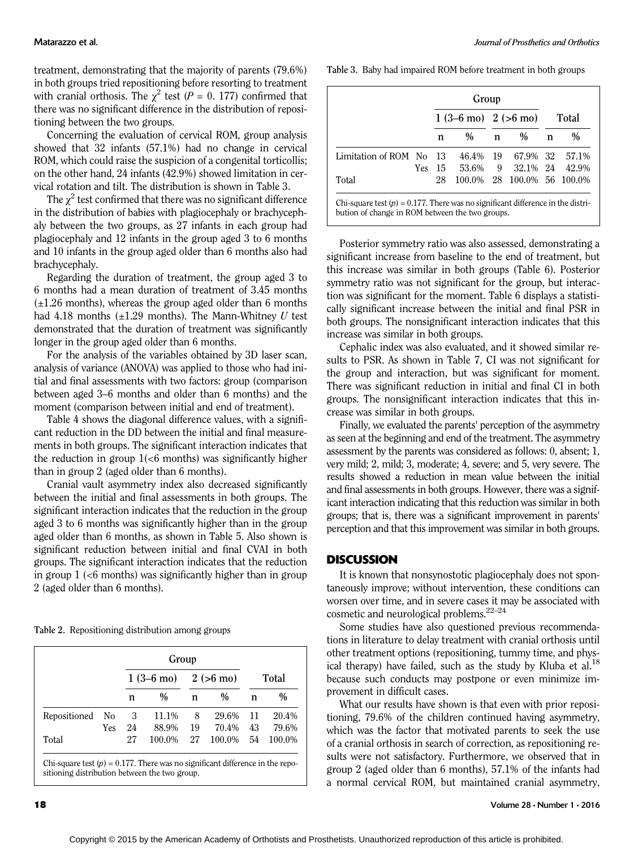treatment, demonstrating that the majority of parents (79.6%) in both groups tried repositioning before resorting to treatment with cranial orthosis. The  $\chi^2$  test (P = 0. 177) confirmed that there was no significant difference in the distribution of repositioning between the two groups.

Concerning the evaluation of cervical ROM, group analysis showed that 32 infants (57.1%) had no change in cervical ROM, which could raise the suspicion of a congenital torticollis; on the other hand, 24 infants (42.9%) showed limitation in cervical rotation and tilt. The distribution is shown in Table 3.

The  $\chi^2$  test confirmed that there was no significant difference in the distribution of babies with plagiocephaly or brachycephaly between the two groups, as 27 infants in each group had plagiocephaly and 12 infants in the group aged 3 to 6 months and 10 infants in the group aged older than 6 months also had brachycephaly.

Regarding the duration of treatment, the group aged 3 to 6 months had a mean duration of treatment of 3.45 months  $(\pm 1.26$  months), whereas the group aged older than 6 months had 4.18 months  $(\pm 1.29$  months). The Mann-Whitney U test demonstrated that the duration of treatment was significantly longer in the group aged older than 6 months.

For the analysis of the variables obtained by 3D laser scan, analysis of variance (ANOVA) was applied to those who had initial and final assessments with two factors: group (comparison between aged 3–6 months and older than 6 months) and the moment (comparison between initial and end of treatment).

Table 4 shows the diagonal difference values, with a significant reduction in the DD between the initial and final measurements in both groups. The significant interaction indicates that the reduction in group  $1(<sub>6</sub>$  months) was significantly higher than in group 2 (aged older than 6 months).

Cranial vault asymmetry index also decreased significantly between the initial and final assessments in both groups. The significant interaction indicates that the reduction in the group aged 3 to 6 months was significantly higher than in the group aged older than 6 months, as shown in Table 5. Also shown is significant reduction between initial and final CVAI in both groups. The significant interaction indicates that the reduction in group  $1$  ( $<6$  months) was significantly higher than in group 2 (aged older than 6 months).

Table 2. Repositioning distribution among groups

|              |     |                     | Group         |                    |               |              |        |
|--------------|-----|---------------------|---------------|--------------------|---------------|--------------|--------|
|              |     | $1(3-6 \text{ mo})$ |               | $2(>6 \text{ mo})$ |               | <b>Total</b> |        |
|              |     | n                   | $\frac{0}{0}$ | n                  | $\frac{0}{0}$ | n            | $\%$   |
| Repositioned | No  | 3                   | 11.1%         | 8                  | 29.6%         | -11          | 20.4%  |
|              | Yes | 24                  | 88.9%         | 19                 | 70.4%         | 43           | 79.6%  |
| Total        |     | 27                  | 100.0%        | 27                 | 100.0%        | 54           | 100.0% |

Table 3. Baby had impaired ROM before treatment in both groups

|                         |      |                                        | Group    |   |                            |              |               |
|-------------------------|------|----------------------------------------|----------|---|----------------------------|--------------|---------------|
|                         |      | $1(3-6 \text{ mo})$ $2(>6 \text{ mo})$ |          |   |                            | <b>Total</b> |               |
|                         |      | n                                      | $\%$     | n | $\frac{0}{0}$              | n            | $\frac{0}{0}$ |
| Limitation of ROM No 13 |      |                                        | 46.4% 19 |   | 67.9% 32                   |              | 57.1%         |
|                         | Yes. | -15                                    | 53.6%    | 9 | 32.1% 24                   |              | 42.9%         |
| Total                   |      | 28                                     |          |   | 100.0% 28 100.0% 56 100.0% |              |               |

Chi-square test  $(p) = 0.177$ . There was no significant difference in the distribution of change in ROM between the two groups.

Posterior symmetry ratio was also assessed, demonstrating a significant increase from baseline to the end of treatment, but this increase was similar in both groups (Table 6). Posterior symmetry ratio was not significant for the group, but interaction was significant for the moment. Table 6 displays a statistically significant increase between the initial and final PSR in both groups. The nonsignificant interaction indicates that this increase was similar in both groups.

Cephalic index was also evaluated, and it showed similar results to PSR. As shown in Table 7, CI was not significant for the group and interaction, but was significant for moment. There was significant reduction in initial and final CI in both groups. The nonsignificant interaction indicates that this increase was similar in both groups.

Finally, we evaluated the parents' perception of the asymmetry as seen at the beginning and end of the treatment. The asymmetry assessment by the parents was considered as follows: 0, absent; 1, very mild; 2, mild; 3, moderate; 4, severe; and 5, very severe. The results showed a reduction in mean value between the initial and final assessments in both groups. However, there was a significant interaction indicating that this reduction was similar in both groups; that is, there was a significant improvement in parents' perception and that this improvement was similar in both groups.

## **DISCUSSION**

It is known that nonsynostotic plagiocephaly does not spontaneously improve; without intervention, these conditions can worsen over time, and in severe cases it may be associated with cosmetic and neurological problems.22–<sup>24</sup>

Some studies have also questioned previous recommendations in literature to delay treatment with cranial orthosis until other treatment options (repositioning, tummy time, and physical therapy) have failed, such as the study by Kluba et al.<sup>18</sup> because such conducts may postpone or even minimize improvement in difficult cases.

What our results have shown is that even with prior repositioning, 79.6% of the children continued having asymmetry, which was the factor that motivated parents to seek the use of a cranial orthosis in search of correction, as repositioning results were not satisfactory. Furthermore, we observed that in group 2 (aged older than 6 months), 57.1% of the infants had a normal cervical ROM, but maintained cranial asymmetry,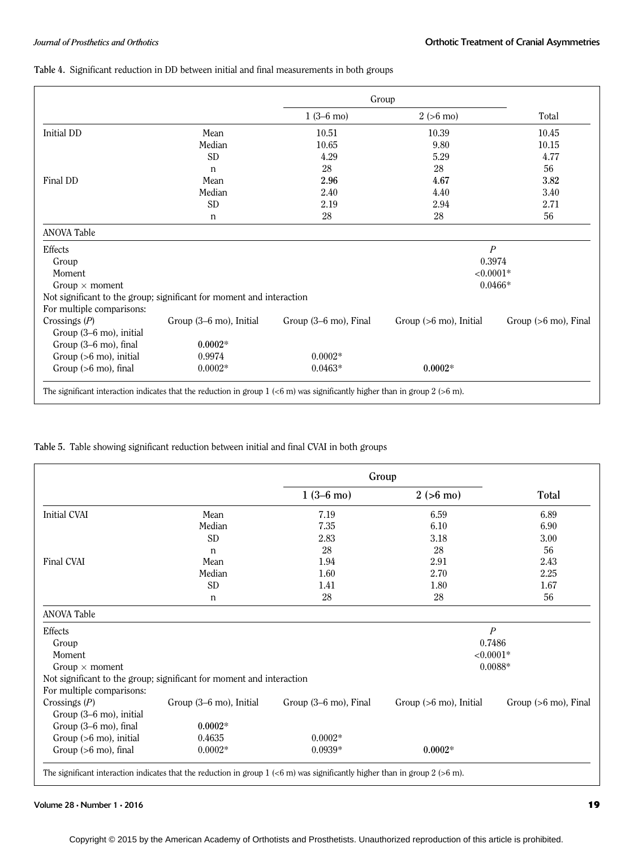### Table 4. Significant reduction in DD between initial and final measurements in both groups

|                           |                                                                      | Group                 |                                   |                                 |
|---------------------------|----------------------------------------------------------------------|-----------------------|-----------------------------------|---------------------------------|
|                           |                                                                      | $1(3-6 \text{ mo})$   | $2(>6 \text{ mo})$                | Total                           |
| Initial DD                | Mean                                                                 | 10.51                 | 10.39                             | 10.45                           |
|                           | Median                                                               | 10.65                 | 9.80                              | 10.15                           |
|                           | <b>SD</b>                                                            | 4.29                  | 5.29                              | 4.77                            |
|                           | $\mathsf{n}$                                                         | 28                    | 28                                | 56                              |
| Final DD                  | Mean                                                                 | 2.96                  | 4.67                              | 3.82                            |
|                           | Median                                                               | 2.40                  | 4.40                              | 3.40                            |
|                           | <b>SD</b>                                                            | 2.19                  | 2.94                              | 2.71                            |
|                           | $\mathbf n$                                                          | 28                    | 28                                | 56                              |
| <b>ANOVA Table</b>        |                                                                      |                       |                                   |                                 |
| Effects                   |                                                                      |                       | $\overline{P}$                    |                                 |
| Group                     |                                                                      |                       |                                   | 0.3974                          |
| <b>Moment</b>             |                                                                      |                       | $< 0.0001*$                       |                                 |
| Group $\times$ moment     |                                                                      |                       |                                   | $0.0466*$                       |
|                           | Not significant to the group; significant for moment and interaction |                       |                                   |                                 |
| For multiple comparisons: |                                                                      |                       |                                   |                                 |
| Crossings $(P)$           | Group (3–6 mo), Initial                                              | Group (3–6 mo), Final | Group $(>6 \text{ mo})$ , Initial | Group $(>6 \text{ mo})$ , Final |
| Group (3–6 mo), initial   |                                                                      |                       |                                   |                                 |
| Group (3–6 mo), final     | $0.0002*$                                                            |                       |                                   |                                 |
| Group $(>6$ mo), initial  | 0.9974                                                               | $0.0002*$             |                                   |                                 |
| Group (>6 mo), final      | $0.0002*$                                                            | $0.0463*$             | $0.0002*$                         |                                 |

### Table 5. Table showing significant reduction between initial and final CVAI in both groups

|                                 |                                                                      |                       | Group                  |                                 |
|---------------------------------|----------------------------------------------------------------------|-----------------------|------------------------|---------------------------------|
|                                 |                                                                      | $1(3-6 \text{ mo})$   | $2(>6 \text{ mo})$     | Total                           |
| <b>Initial CVAI</b>             | Mean                                                                 | 7.19                  | 6.59                   | 6.89                            |
|                                 | Median                                                               | 7.35                  | 6.10                   | 6.90                            |
|                                 | <b>SD</b>                                                            | 2.83                  | 3.18                   | 3.00                            |
|                                 | $\mathsf{n}$                                                         | 28                    | 28                     | 56                              |
| Final CVAI                      | Mean                                                                 | 1.94                  | 2.91                   | 2.43                            |
|                                 | Median                                                               | 1.60                  | 2.70                   | 2.25                            |
|                                 | <b>SD</b>                                                            | 1.41                  | 1.80                   | 1.67                            |
|                                 | n                                                                    | 28                    | 28                     | 56                              |
| <b>ANOVA Table</b>              |                                                                      |                       |                        |                                 |
| Effects                         |                                                                      |                       |                        | $\overline{P}$                  |
| Group                           |                                                                      |                       |                        | 0.7486                          |
| Moment                          |                                                                      |                       |                        | ${<}0.0001*$                    |
| Group $\times$ moment           |                                                                      |                       |                        | $0.0088*$                       |
|                                 | Not significant to the group; significant for moment and interaction |                       |                        |                                 |
| For multiple comparisons:       |                                                                      |                       |                        |                                 |
| Crossings $(P)$                 | Group (3-6 mo), Initial                                              | Group (3-6 mo), Final | Group (>6 mo), Initial | Group $(>6 \text{ mo})$ , Final |
| Group (3-6 mo), initial         |                                                                      |                       |                        |                                 |
| Group (3-6 mo), final           | $0.0002*$                                                            |                       |                        |                                 |
| Group $(>6$ mo), initial        | 0.4635                                                               | $0.0002*$             |                        |                                 |
| Group $(>6 \text{ mo})$ , final | $0.0002*$                                                            | $0.0939*$             | $0.0002*$              |                                 |

The significant interaction indicates that the reduction in group  $1 \left( \langle 6 \text{ m} \rangle \right)$  was significantly higher than in group  $2 \left( \langle 6 \text{ m} \rangle \right)$ .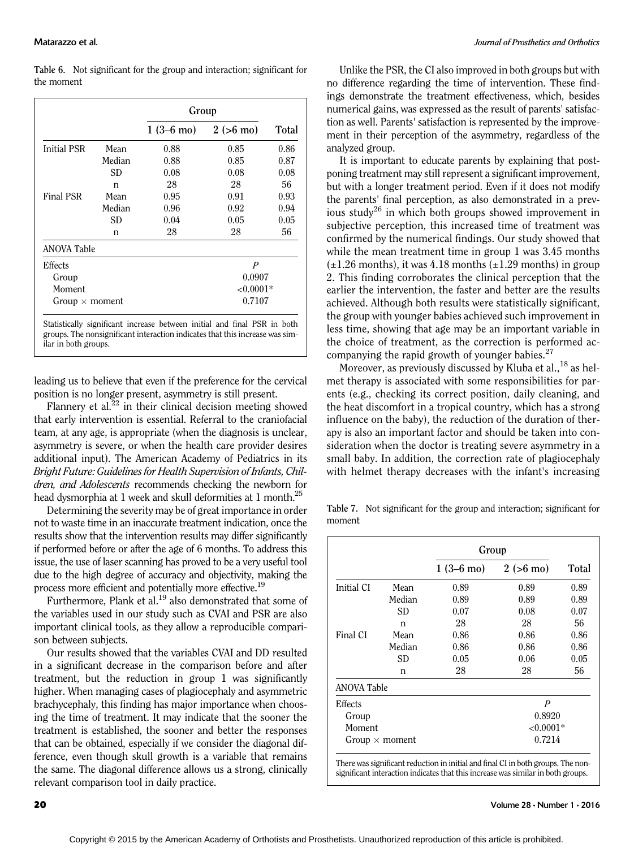|                       |        | Group               |                    |       |  |
|-----------------------|--------|---------------------|--------------------|-------|--|
|                       |        | $1(3-6 \text{ mo})$ | $2(>6 \text{ mo})$ | Total |  |
| <b>Initial PSR</b>    | Mean   | 0.88                | 0.85               | 0.86  |  |
|                       | Median | 0.88                | 0.85               | 0.87  |  |
|                       | SD     | 0.08                | 0.08               | 0.08  |  |
|                       | n      | 28                  | 28                 | 56    |  |
| Final PSR             | Mean   | 0.95                | 0.91               | 0.93  |  |
|                       | Median | 0.96                | 0.92               | 0.94  |  |
|                       | SD     | 0.04                | 0.05               | 0.05  |  |
|                       | n      | 28                  | 28                 | 56    |  |
| <b>ANOVA Table</b>    |        |                     |                    |       |  |
| Effects               |        |                     | P                  |       |  |
| Group                 |        |                     | 0.0907             |       |  |
| Moment                |        |                     | $<0.0001*$         |       |  |
| Group $\times$ moment |        |                     | 0.7107             |       |  |

groups. The nonsignificant interaction indicates that this increase was similar in both groups.

leading us to believe that even if the preference for the cervical position is no longer present, asymmetry is still present.

Flannery et al. $^{22}$  in their clinical decision meeting showed that early intervention is essential. Referral to the craniofacial team, at any age, is appropriate (when the diagnosis is unclear, asymmetry is severe, or when the health care provider desires additional input). The American Academy of Pediatrics in its Bright Future: Guidelines for Health Supervision of Infants, Children, and Adolescents recommends checking the newborn for head dysmorphia at 1 week and skull deformities at 1 month.<sup>25</sup>

Determining the severity may be of great importance in order not to waste time in an inaccurate treatment indication, once the results show that the intervention results may differ significantly if performed before or after the age of 6 months. To address this issue, the use of laser scanning has proved to be a very useful tool due to the high degree of accuracy and objectivity, making the process more efficient and potentially more effective.<sup>19</sup>

Furthermore, Plank et al.<sup>19</sup> also demonstrated that some of the variables used in our study such as CVAI and PSR are also important clinical tools, as they allow a reproducible comparison between subjects.

Our results showed that the variables CVAI and DD resulted in a significant decrease in the comparison before and after treatment, but the reduction in group 1 was significantly higher. When managing cases of plagiocephaly and asymmetric brachycephaly, this finding has major importance when choosing the time of treatment. It may indicate that the sooner the treatment is established, the sooner and better the responses that can be obtained, especially if we consider the diagonal difference, even though skull growth is a variable that remains the same. The diagonal difference allows us a strong, clinically relevant comparison tool in daily practice.

Unlike the PSR, the CI also improved in both groups but with no difference regarding the time of intervention. These findings demonstrate the treatment effectiveness, which, besides numerical gains, was expressed as the result of parents' satisfaction as well. Parents' satisfaction is represented by the improvement in their perception of the asymmetry, regardless of the analyzed group.

It is important to educate parents by explaining that postponing treatment may still represent a significant improvement, but with a longer treatment period. Even if it does not modify the parents' final perception, as also demonstrated in a previous study<sup>26</sup> in which both groups showed improvement in subjective perception, this increased time of treatment was confirmed by the numerical findings. Our study showed that while the mean treatment time in group 1 was 3.45 months  $(\pm 1.26$  months), it was 4.18 months  $(\pm 1.29$  months) in group 2. This finding corroborates the clinical perception that the earlier the intervention, the faster and better are the results achieved. Although both results were statistically significant, the group with younger babies achieved such improvement in less time, showing that age may be an important variable in the choice of treatment, as the correction is performed accompanying the rapid growth of younger babies. $27$ 

Moreover, as previously discussed by Kluba et al.,  $^{18}$  as helmet therapy is associated with some responsibilities for parents (e.g., checking its correct position, daily cleaning, and the heat discomfort in a tropical country, which has a strong influence on the baby), the reduction of the duration of therapy is also an important factor and should be taken into consideration when the doctor is treating severe asymmetry in a small baby. In addition, the correction rate of plagiocephaly with helmet therapy decreases with the infant's increasing

Table 7. Not significant for the group and interaction; significant for moment

|                    |                       | Group               |                    |       |  |
|--------------------|-----------------------|---------------------|--------------------|-------|--|
|                    |                       | $1(3-6 \text{ mo})$ | $2(>6 \text{ mo})$ | Total |  |
| <b>Initial CI</b>  | Mean                  | 0.89                | 0.89               | 0.89  |  |
|                    | Median                | 0.89                | 0.89               | 0.89  |  |
|                    | SD                    | 0.07                | 0.08               | 0.07  |  |
|                    | n                     | 28                  | 28                 | 56    |  |
| Final CI           | Mean                  | 0.86                | 0.86               | 0.86  |  |
|                    | Median                | 0.86                | 0.86               | 0.86  |  |
|                    | SD                    | 0.05                | 0.06               | 0.05  |  |
|                    | n                     | 28                  | 28                 | 56    |  |
| <b>ANOVA Table</b> |                       |                     |                    |       |  |
| Effects            |                       |                     | $\overline{P}$     |       |  |
| Group              |                       |                     | 0.8920             |       |  |
| Moment             |                       |                     | ${<}0.0001*$       |       |  |
|                    | Group $\times$ moment |                     | 0.7214             |       |  |

There was significant reduction in initial and final CI in both groups. The nonsignificant interaction indicates that this increase was similar in both groups.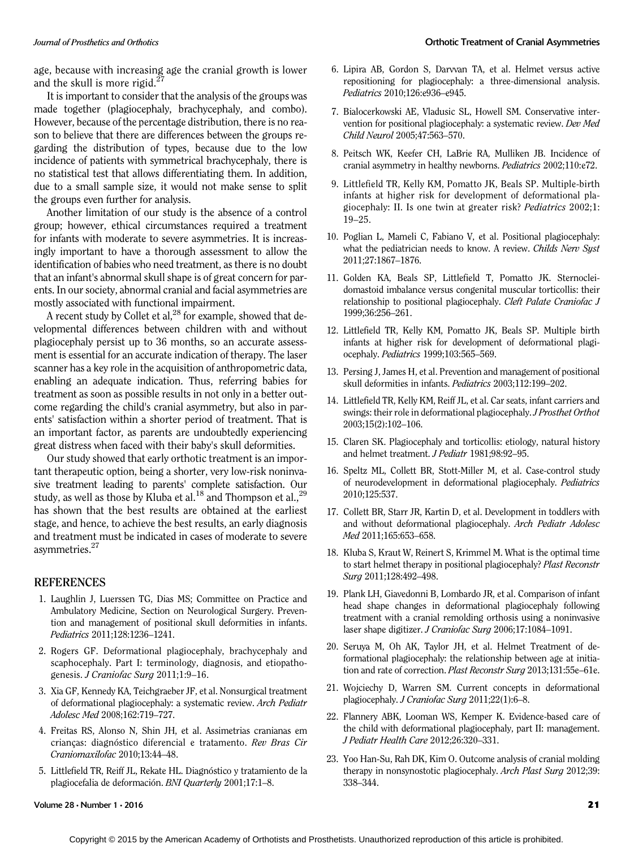age, because with increasing age the cranial growth is lower and the skull is more rigid. $27$ 

It is important to consider that the analysis of the groups was made together (plagiocephaly, brachycephaly, and combo). However, because of the percentage distribution, there is no reason to believe that there are differences between the groups regarding the distribution of types, because due to the low incidence of patients with symmetrical brachycephaly, there is no statistical test that allows differentiating them. In addition, due to a small sample size, it would not make sense to split the groups even further for analysis.

Another limitation of our study is the absence of a control group; however, ethical circumstances required a treatment for infants with moderate to severe asymmetries. It is increasingly important to have a thorough assessment to allow the identification of babies who need treatment, as there is no doubt that an infant's abnormal skull shape is of great concern for parents. In our society, abnormal cranial and facial asymmetries are mostly associated with functional impairment.

A recent study by Collet et al,  $^{28}$  for example, showed that developmental differences between children with and without plagiocephaly persist up to 36 months, so an accurate assessment is essential for an accurate indication of therapy. The laser scanner has a key role in the acquisition of anthropometric data, enabling an adequate indication. Thus, referring babies for treatment as soon as possible results in not only in a better outcome regarding the child's cranial asymmetry, but also in parents' satisfaction within a shorter period of treatment. That is an important factor, as parents are undoubtedly experiencing great distress when faced with their baby's skull deformities.

Our study showed that early orthotic treatment is an important therapeutic option, being a shorter, very low-risk noninvasive treatment leading to parents' complete satisfaction. Our study, as well as those by Kluba et al.<sup>18</sup> and Thompson et al.,<sup>29</sup> has shown that the best results are obtained at the earliest stage, and hence, to achieve the best results, an early diagnosis and treatment must be indicated in cases of moderate to severe asymmetries.27

### **REFERENCES**

- 1. Laughlin J, Luerssen TG, Dias MS; Committee on Practice and Ambulatory Medicine, Section on Neurological Surgery. Prevention and management of positional skull deformities in infants. Pediatrics 2011;128:1236–1241.
- 2. Rogers GF. Deformational plagiocephaly, brachycephaly and scaphocephaly. Part I: terminology, diagnosis, and etiopathogenesis. J Craniofac Surg 2011;1:9–16.
- 3. Xia GF, Kennedy KA, Teichgraeber JF, et al. Nonsurgical treatment of deformational plagiocephaly: a systematic review. Arch Pediatr Adolesc Med 2008;162:719–727.
- 4. Freitas RS, Alonso N, Shin JH, et al. Assimetrias cranianas em crianças: diagnóstico diferencial e tratamento. Rev Bras Cir Craniomaxilofac 2010;13:44–48.
- 5. Littlefield TR, Reiff JL, Rekate HL. Diagnóstico y tratamiento de la plagiocefalia de deformación. BNI Quarterly 2001;17:1–8.
- 6. Lipira AB, Gordon S, Darvvan TA, et al. Helmet versus active repositioning for plagiocephaly: a three-dimensional analysis. Pediatrics 2010;126:e936–e945.
- 7. Bialocerkowski AE, Vladusic SL, Howell SM. Conservative intervention for positional plagiocephaly: a systematic review. Dev Med Child Neurol 2005;47:563–570.
- 8. Peitsch WK, Keefer CH, LaBrie RA, Mulliken JB. Incidence of cranial asymmetry in healthy newborns. Pediatrics 2002;110:e72.
- 9. Littlefield TR, Kelly KM, Pomatto JK, Beals SP. Multiple-birth infants at higher risk for development of deformational plagiocephaly: II. Is one twin at greater risk? Pediatrics 2002;1: 19–25.
- 10. Poglian L, Mameli C, Fabiano V, et al. Positional plagiocephaly: what the pediatrician needs to know. A review. Childs Nerv Syst 2011;27:1867–1876.
- 11. Golden KA, Beals SP, Littlefield T, Pomatto JK. Sternocleidomastoid imbalance versus congenital muscular torticollis: their relationship to positional plagiocephaly. Cleft Palate Craniofac J 1999;36:256–261.
- 12. Littlefield TR, Kelly KM, Pomatto JK, Beals SP. Multiple birth infants at higher risk for development of deformational plagiocephaly. Pediatrics 1999;103:565–569.
- 13. Persing J, James H, et al. Prevention and management of positional skull deformities in infants. Pediatrics 2003;112:199–202.
- 14. Littlefield TR, Kelly KM, Reiff JL, et al. Car seats, infant carriers and swings: their role in deformational plagiocephaly.J Prosthet Orthot 2003;15(2):102–106.
- 15. Claren SK. Plagiocephaly and torticollis: etiology, natural history and helmet treatment. J Pediatr 1981;98:92–95.
- 16. Speltz ML, Collett BR, Stott-Miller M, et al. Case-control study of neurodevelopment in deformational plagiocephaly. Pediatrics 2010;125:537.
- 17. Collett BR, Starr JR, Kartin D, et al. Development in toddlers with and without deformational plagiocephaly. Arch Pediatr Adolesc Med 2011;165:653–658.
- 18. Kluba S, Kraut W, Reinert S, Krimmel M. What is the optimal time to start helmet therapy in positional plagiocephaly? Plast Reconstr Surg 2011;128:492–498.
- 19. Plank LH, Giavedonni B, Lombardo JR, et al. Comparison of infant head shape changes in deformational plagiocephaly following treatment with a cranial remolding orthosis using a noninvasive laser shape digitizer. J Craniofac Surg 2006;17:1084–1091.
- 20. Seruya M, Oh AK, Taylor JH, et al. Helmet Treatment of deformational plagiocephaly: the relationship between age at initiation and rate of correction. Plast Reconstr Surg 2013;131:55e–61e.
- 21. Wojciechy D, Warren SM. Current concepts in deformational plagiocephaly. J Craniofac Surg 2011;22(1):6–8.
- 22. Flannery ABK, Looman WS, Kemper K. Evidence-based care of the child with deformational plagiocephaly, part II: management. J Pediatr Health Care 2012;26:320–331.
- 23. Yoo Han-Su, Rah DK, Kim O. Outcome analysis of cranial molding therapy in nonsynostotic plagiocephaly. Arch Plast Surg 2012;39: 338–344.